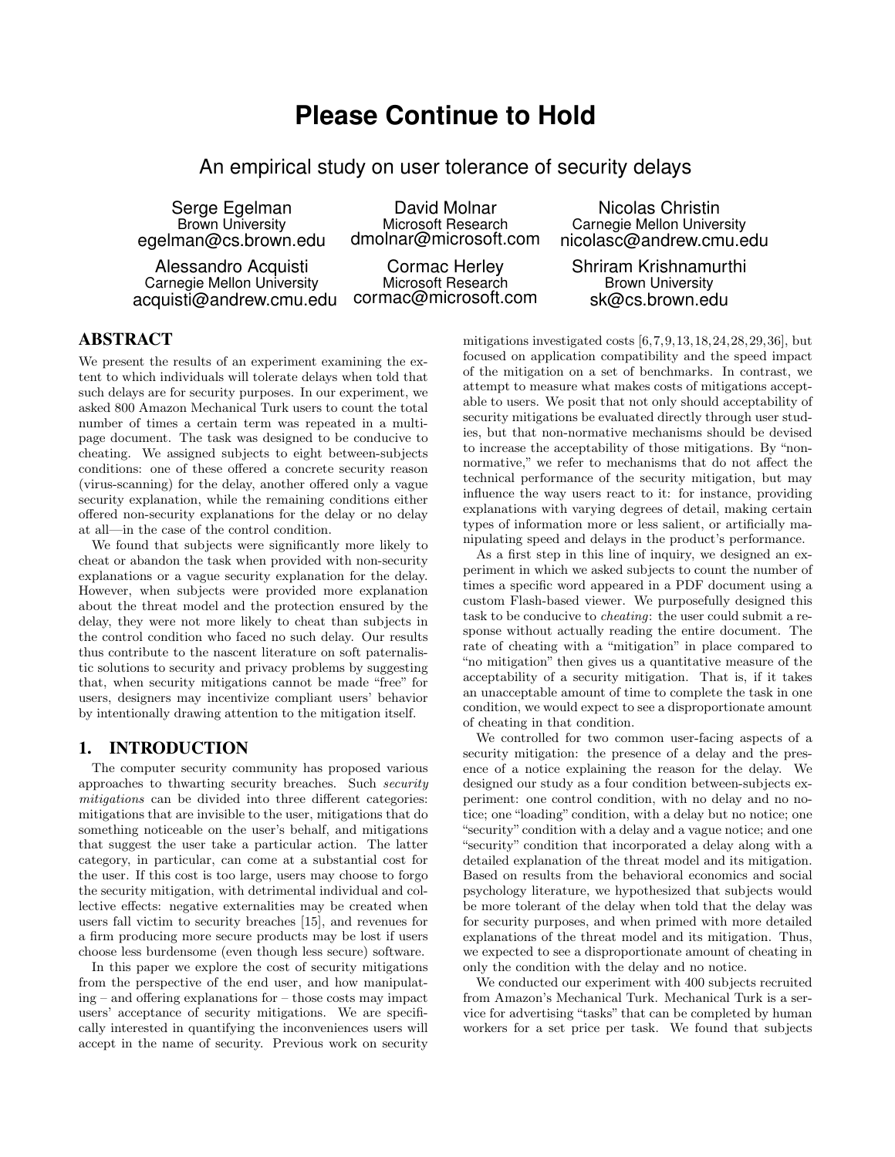# **Please Continue to Hold**

An empirical study on user tolerance of security delays

Serge Egelman Brown University egelman@cs.brown.edu

Alessandro Acquisti Carnegie Mellon University acquisti@andrew.cmu.edu

David Molnar Microsoft Research dmolnar@microsoft.com

Cormac Herley Microsoft Research cormac@microsoft.com

Nicolas Christin Carnegie Mellon University nicolasc@andrew.cmu.edu

## Shriram Krishnamurthi Brown University sk@cs.brown.edu

# ABSTRACT

We present the results of an experiment examining the extent to which individuals will tolerate delays when told that such delays are for security purposes. In our experiment, we asked 800 Amazon Mechanical Turk users to count the total number of times a certain term was repeated in a multipage document. The task was designed to be conducive to cheating. We assigned subjects to eight between-subjects conditions: one of these offered a concrete security reason (virus-scanning) for the delay, another offered only a vague security explanation, while the remaining conditions either offered non-security explanations for the delay or no delay at all—in the case of the control condition.

We found that subjects were significantly more likely to cheat or abandon the task when provided with non-security explanations or a vague security explanation for the delay. However, when subjects were provided more explanation about the threat model and the protection ensured by the delay, they were not more likely to cheat than subjects in the control condition who faced no such delay. Our results thus contribute to the nascent literature on soft paternalistic solutions to security and privacy problems by suggesting that, when security mitigations cannot be made "free" for users, designers may incentivize compliant users' behavior by intentionally drawing attention to the mitigation itself.

# 1. INTRODUCTION

The computer security community has proposed various approaches to thwarting security breaches. Such security mitigations can be divided into three different categories: mitigations that are invisible to the user, mitigations that do something noticeable on the user's behalf, and mitigations that suggest the user take a particular action. The latter category, in particular, can come at a substantial cost for the user. If this cost is too large, users may choose to forgo the security mitigation, with detrimental individual and collective effects: negative externalities may be created when users fall victim to security breaches [15], and revenues for a firm producing more secure products may be lost if users choose less burdensome (even though less secure) software.

In this paper we explore the cost of security mitigations from the perspective of the end user, and how manipulating – and offering explanations for – those costs may impact users' acceptance of security mitigations. We are specifically interested in quantifying the inconveniences users will accept in the name of security. Previous work on security

mitigations investigated costs  $[6,7,9,13,18,24,28,29,36]$ , but focused on application compatibility and the speed impact of the mitigation on a set of benchmarks. In contrast, we attempt to measure what makes costs of mitigations acceptable to users. We posit that not only should acceptability of security mitigations be evaluated directly through user studies, but that non-normative mechanisms should be devised to increase the acceptability of those mitigations. By "nonnormative," we refer to mechanisms that do not affect the technical performance of the security mitigation, but may influence the way users react to it: for instance, providing explanations with varying degrees of detail, making certain types of information more or less salient, or artificially manipulating speed and delays in the product's performance.

As a first step in this line of inquiry, we designed an experiment in which we asked subjects to count the number of times a specific word appeared in a PDF document using a custom Flash-based viewer. We purposefully designed this task to be conducive to cheating: the user could submit a response without actually reading the entire document. The rate of cheating with a "mitigation" in place compared to "no mitigation" then gives us a quantitative measure of the acceptability of a security mitigation. That is, if it takes an unacceptable amount of time to complete the task in one condition, we would expect to see a disproportionate amount of cheating in that condition.

We controlled for two common user-facing aspects of a security mitigation: the presence of a delay and the presence of a notice explaining the reason for the delay. We designed our study as a four condition between-subjects experiment: one control condition, with no delay and no notice; one "loading" condition, with a delay but no notice; one "security" condition with a delay and a vague notice; and one "security" condition that incorporated a delay along with a detailed explanation of the threat model and its mitigation. Based on results from the behavioral economics and social psychology literature, we hypothesized that subjects would be more tolerant of the delay when told that the delay was for security purposes, and when primed with more detailed explanations of the threat model and its mitigation. Thus, we expected to see a disproportionate amount of cheating in only the condition with the delay and no notice.

We conducted our experiment with 400 subjects recruited from Amazon's Mechanical Turk. Mechanical Turk is a service for advertising "tasks" that can be completed by human workers for a set price per task. We found that subjects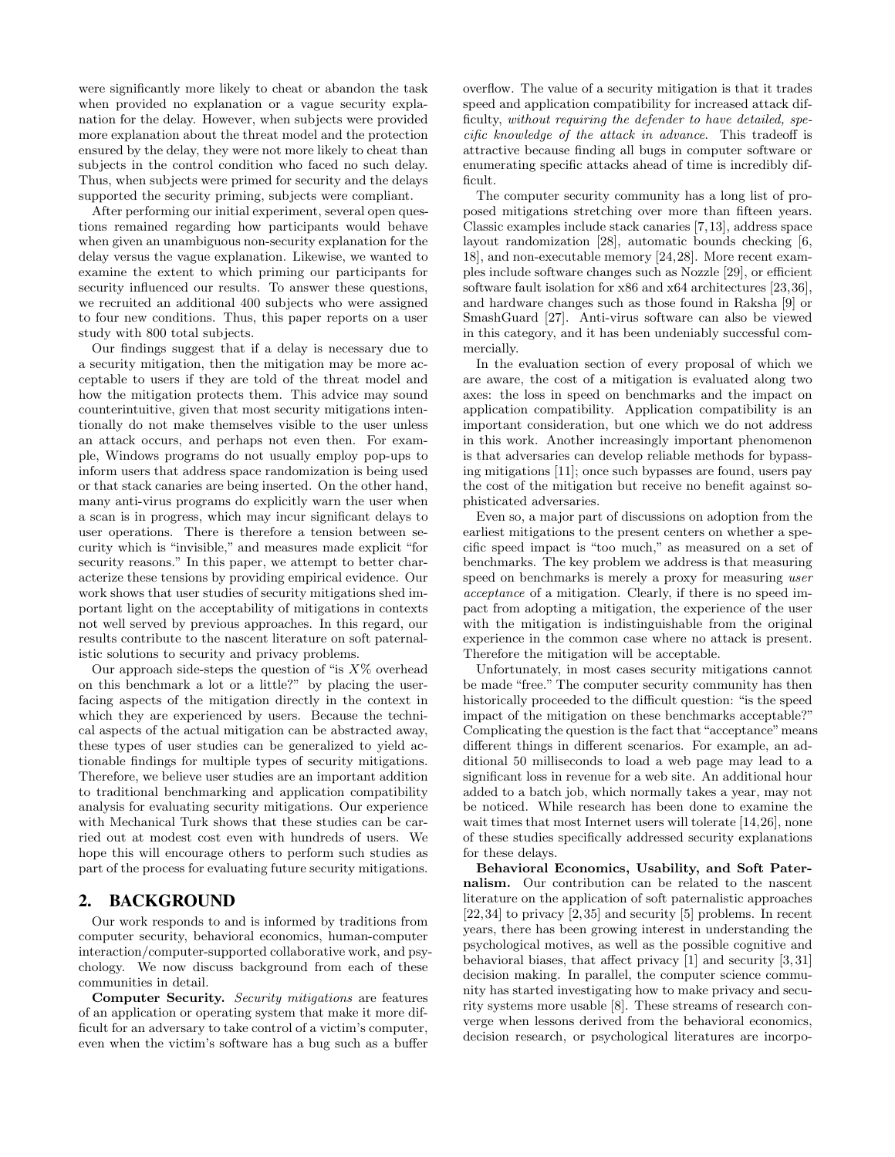were significantly more likely to cheat or abandon the task when provided no explanation or a vague security explanation for the delay. However, when subjects were provided more explanation about the threat model and the protection ensured by the delay, they were not more likely to cheat than subjects in the control condition who faced no such delay. Thus, when subjects were primed for security and the delays supported the security priming, subjects were compliant.

After performing our initial experiment, several open questions remained regarding how participants would behave when given an unambiguous non-security explanation for the delay versus the vague explanation. Likewise, we wanted to examine the extent to which priming our participants for security influenced our results. To answer these questions, we recruited an additional 400 subjects who were assigned to four new conditions. Thus, this paper reports on a user study with 800 total subjects.

Our findings suggest that if a delay is necessary due to a security mitigation, then the mitigation may be more acceptable to users if they are told of the threat model and how the mitigation protects them. This advice may sound counterintuitive, given that most security mitigations intentionally do not make themselves visible to the user unless an attack occurs, and perhaps not even then. For example, Windows programs do not usually employ pop-ups to inform users that address space randomization is being used or that stack canaries are being inserted. On the other hand, many anti-virus programs do explicitly warn the user when a scan is in progress, which may incur significant delays to user operations. There is therefore a tension between security which is "invisible," and measures made explicit "for security reasons." In this paper, we attempt to better characterize these tensions by providing empirical evidence. Our work shows that user studies of security mitigations shed important light on the acceptability of mitigations in contexts not well served by previous approaches. In this regard, our results contribute to the nascent literature on soft paternalistic solutions to security and privacy problems.

Our approach side-steps the question of "is  $X\%$  overhead" on this benchmark a lot or a little?" by placing the userfacing aspects of the mitigation directly in the context in which they are experienced by users. Because the technical aspects of the actual mitigation can be abstracted away, these types of user studies can be generalized to yield actionable findings for multiple types of security mitigations. Therefore, we believe user studies are an important addition to traditional benchmarking and application compatibility analysis for evaluating security mitigations. Our experience with Mechanical Turk shows that these studies can be carried out at modest cost even with hundreds of users. We hope this will encourage others to perform such studies as part of the process for evaluating future security mitigations.

## 2. BACKGROUND

Our work responds to and is informed by traditions from computer security, behavioral economics, human-computer interaction/computer-supported collaborative work, and psychology. We now discuss background from each of these communities in detail.

Computer Security. Security mitigations are features of an application or operating system that make it more difficult for an adversary to take control of a victim's computer, even when the victim's software has a bug such as a buffer overflow. The value of a security mitigation is that it trades speed and application compatibility for increased attack difficulty, without requiring the defender to have detailed, specific knowledge of the attack in advance. This tradeoff is attractive because finding all bugs in computer software or enumerating specific attacks ahead of time is incredibly difficult.

The computer security community has a long list of proposed mitigations stretching over more than fifteen years. Classic examples include stack canaries [7,13], address space layout randomization [28], automatic bounds checking [6, 18], and non-executable memory [24,28]. More recent examples include software changes such as Nozzle [29], or efficient software fault isolation for x86 and x64 architectures [23,36], and hardware changes such as those found in Raksha [9] or SmashGuard [27]. Anti-virus software can also be viewed in this category, and it has been undeniably successful commercially.

In the evaluation section of every proposal of which we are aware, the cost of a mitigation is evaluated along two axes: the loss in speed on benchmarks and the impact on application compatibility. Application compatibility is an important consideration, but one which we do not address in this work. Another increasingly important phenomenon is that adversaries can develop reliable methods for bypassing mitigations [11]; once such bypasses are found, users pay the cost of the mitigation but receive no benefit against sophisticated adversaries.

Even so, a major part of discussions on adoption from the earliest mitigations to the present centers on whether a specific speed impact is "too much," as measured on a set of benchmarks. The key problem we address is that measuring speed on benchmarks is merely a proxy for measuring user acceptance of a mitigation. Clearly, if there is no speed impact from adopting a mitigation, the experience of the user with the mitigation is indistinguishable from the original experience in the common case where no attack is present. Therefore the mitigation will be acceptable.

Unfortunately, in most cases security mitigations cannot be made "free." The computer security community has then historically proceeded to the difficult question: "is the speed impact of the mitigation on these benchmarks acceptable?" Complicating the question is the fact that "acceptance" means different things in different scenarios. For example, an additional 50 milliseconds to load a web page may lead to a significant loss in revenue for a web site. An additional hour added to a batch job, which normally takes a year, may not be noticed. While research has been done to examine the wait times that most Internet users will tolerate [14,26], none of these studies specifically addressed security explanations for these delays.

Behavioral Economics, Usability, and Soft Paternalism. Our contribution can be related to the nascent literature on the application of soft paternalistic approaches [22,34] to privacy [2,35] and security [5] problems. In recent years, there has been growing interest in understanding the psychological motives, as well as the possible cognitive and behavioral biases, that affect privacy [1] and security [3, 31] decision making. In parallel, the computer science community has started investigating how to make privacy and security systems more usable [8]. These streams of research converge when lessons derived from the behavioral economics, decision research, or psychological literatures are incorpo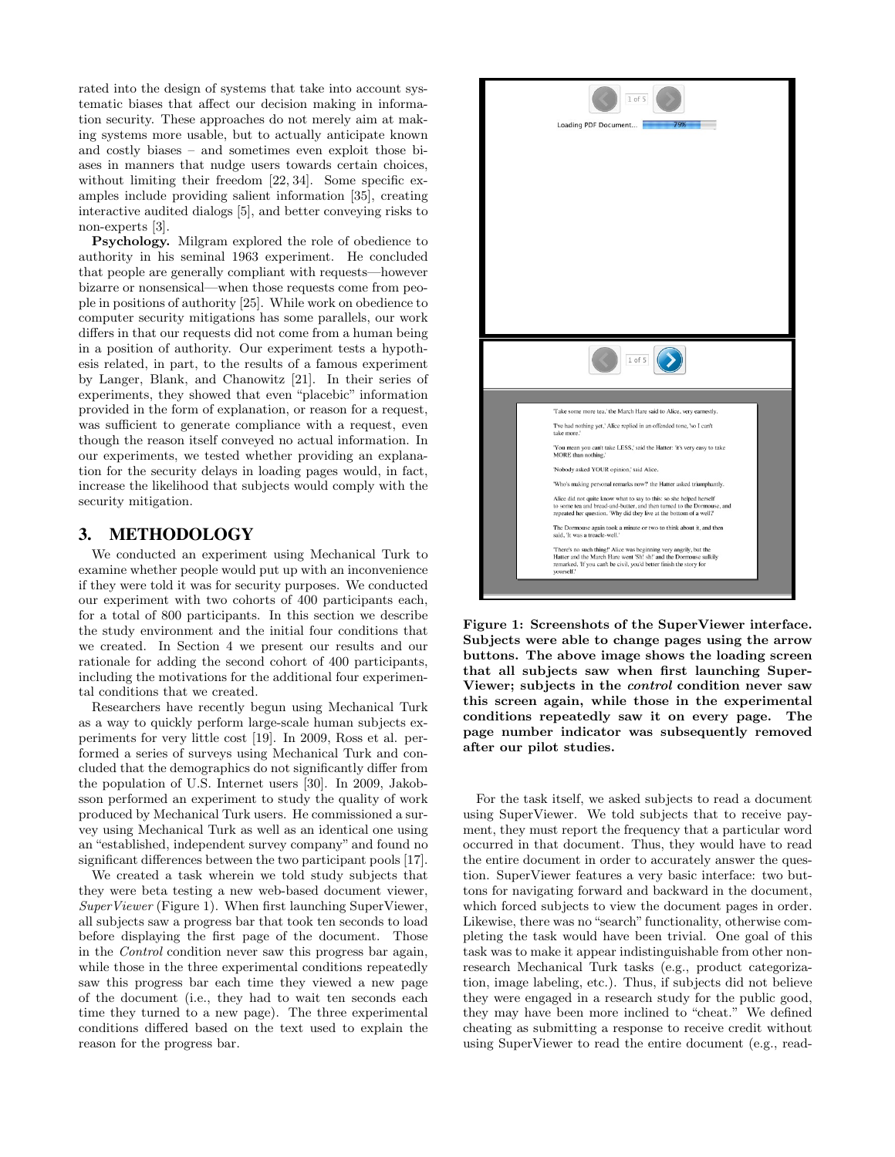rated into the design of systems that take into account systematic biases that affect our decision making in information security. These approaches do not merely aim at making systems more usable, but to actually anticipate known and costly biases – and sometimes even exploit those biases in manners that nudge users towards certain choices, without limiting their freedom [22, 34]. Some specific examples include providing salient information [35], creating interactive audited dialogs [5], and better conveying risks to non-experts [3].

Psychology. Milgram explored the role of obedience to authority in his seminal 1963 experiment. He concluded that people are generally compliant with requests—however bizarre or nonsensical—when those requests come from people in positions of authority [25]. While work on obedience to computer security mitigations has some parallels, our work differs in that our requests did not come from a human being in a position of authority. Our experiment tests a hypothesis related, in part, to the results of a famous experiment by Langer, Blank, and Chanowitz [21]. In their series of experiments, they showed that even "placebic" information provided in the form of explanation, or reason for a request, was sufficient to generate compliance with a request, even though the reason itself conveyed no actual information. In our experiments, we tested whether providing an explanation for the security delays in loading pages would, in fact, increase the likelihood that subjects would comply with the security mitigation.

## 3. METHODOLOGY

We conducted an experiment using Mechanical Turk to examine whether people would put up with an inconvenience if they were told it was for security purposes. We conducted our experiment with two cohorts of 400 participants each, for a total of 800 participants. In this section we describe the study environment and the initial four conditions that we created. In Section 4 we present our results and our rationale for adding the second cohort of 400 participants, including the motivations for the additional four experimental conditions that we created.

Researchers have recently begun using Mechanical Turk as a way to quickly perform large-scale human subjects experiments for very little cost [19]. In 2009, Ross et al. performed a series of surveys using Mechanical Turk and concluded that the demographics do not significantly differ from the population of U.S. Internet users [30]. In 2009, Jakobsson performed an experiment to study the quality of work produced by Mechanical Turk users. He commissioned a survey using Mechanical Turk as well as an identical one using an "established, independent survey company" and found no significant differences between the two participant pools [17].

We created a task wherein we told study subjects that they were beta testing a new web-based document viewer, SuperViewer (Figure 1). When first launching SuperViewer, all subjects saw a progress bar that took ten seconds to load before displaying the first page of the document. Those in the Control condition never saw this progress bar again, while those in the three experimental conditions repeatedly saw this progress bar each time they viewed a new page of the document (i.e., they had to wait ten seconds each time they turned to a new page). The three experimental conditions differed based on the text used to explain the reason for the progress bar.



Figure 1: Screenshots of the SuperViewer interface. Subjects were able to change pages using the arrow buttons. The above image shows the loading screen that all subjects saw when first launching Super-Viewer; subjects in the control condition never saw this screen again, while those in the experimental conditions repeatedly saw it on every page. The page number indicator was subsequently removed after our pilot studies.

For the task itself, we asked subjects to read a document using SuperViewer. We told subjects that to receive payment, they must report the frequency that a particular word occurred in that document. Thus, they would have to read the entire document in order to accurately answer the question. SuperViewer features a very basic interface: two buttons for navigating forward and backward in the document, which forced subjects to view the document pages in order. Likewise, there was no "search" functionality, otherwise completing the task would have been trivial. One goal of this task was to make it appear indistinguishable from other nonresearch Mechanical Turk tasks (e.g., product categorization, image labeling, etc.). Thus, if subjects did not believe they were engaged in a research study for the public good, they may have been more inclined to "cheat." We defined cheating as submitting a response to receive credit without using SuperViewer to read the entire document (e.g., read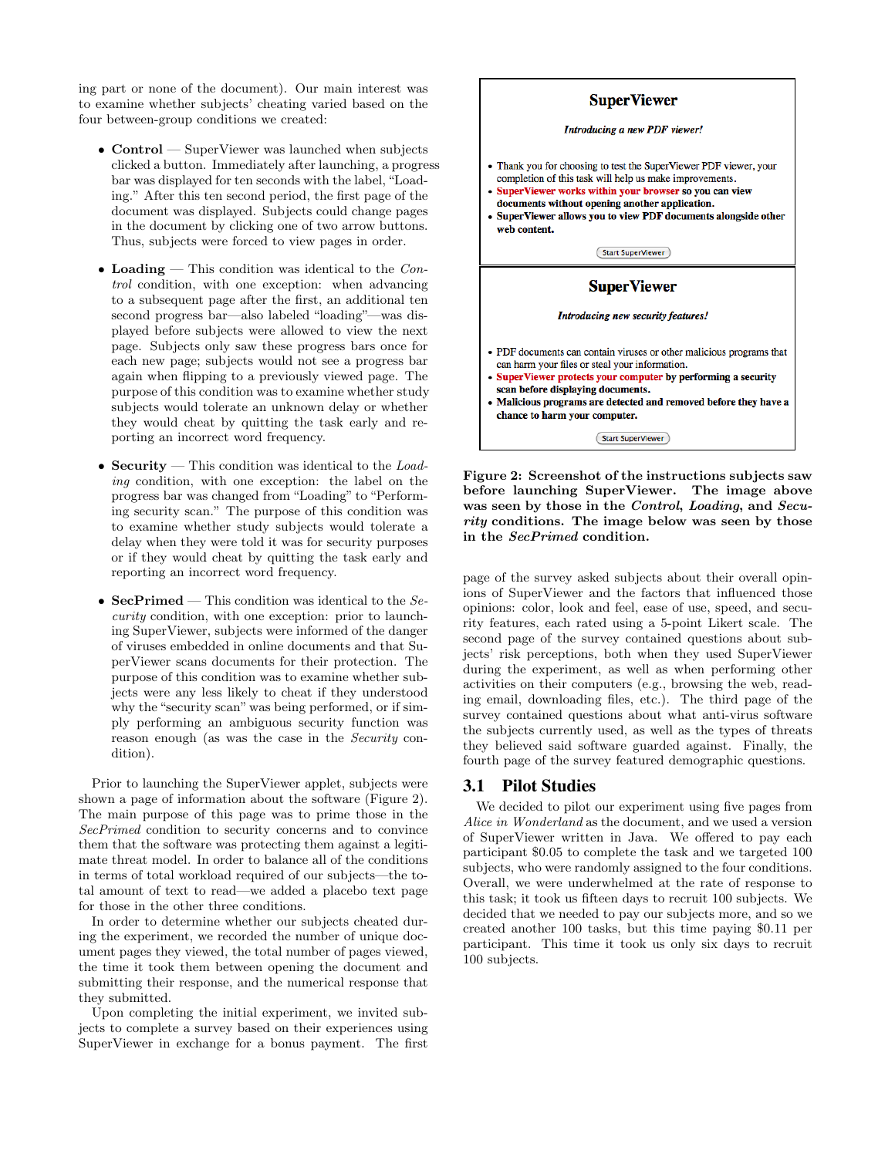ing part or none of the document). Our main interest was to examine whether subjects' cheating varied based on the four between-group conditions we created:

- Control SuperViewer was launched when subjects clicked a button. Immediately after launching, a progress bar was displayed for ten seconds with the label, "Loading." After this ten second period, the first page of the document was displayed. Subjects could change pages in the document by clicking one of two arrow buttons. Thus, subjects were forced to view pages in order.
- Loading This condition was identical to the  $Con$ trol condition, with one exception: when advancing to a subsequent page after the first, an additional ten second progress bar—also labeled "loading"—was displayed before subjects were allowed to view the next page. Subjects only saw these progress bars once for each new page; subjects would not see a progress bar again when flipping to a previously viewed page. The purpose of this condition was to examine whether study subjects would tolerate an unknown delay or whether they would cheat by quitting the task early and reporting an incorrect word frequency.
- Security This condition was identical to the  $Load$ ing condition, with one exception: the label on the progress bar was changed from "Loading" to "Performing security scan." The purpose of this condition was to examine whether study subjects would tolerate a delay when they were told it was for security purposes or if they would cheat by quitting the task early and reporting an incorrect word frequency.
- SecPrimed This condition was identical to the  $Se$ curity condition, with one exception: prior to launching SuperViewer, subjects were informed of the danger of viruses embedded in online documents and that SuperViewer scans documents for their protection. The purpose of this condition was to examine whether subjects were any less likely to cheat if they understood why the "security scan" was being performed, or if simply performing an ambiguous security function was reason enough (as was the case in the Security condition).

Prior to launching the SuperViewer applet, subjects were shown a page of information about the software (Figure 2). The main purpose of this page was to prime those in the SecPrimed condition to security concerns and to convince them that the software was protecting them against a legitimate threat model. In order to balance all of the conditions in terms of total workload required of our subjects—the total amount of text to read—we added a placebo text page for those in the other three conditions.

In order to determine whether our subjects cheated during the experiment, we recorded the number of unique document pages they viewed, the total number of pages viewed, the time it took them between opening the document and submitting their response, and the numerical response that they submitted.

Upon completing the initial experiment, we invited subjects to complete a survey based on their experiences using SuperViewer in exchange for a bonus payment. The first



Figure 2: Screenshot of the instructions subjects saw before launching SuperViewer. The image above was seen by those in the Control, Loading, and Security conditions. The image below was seen by those in the SecPrimed condition.

page of the survey asked subjects about their overall opinions of SuperViewer and the factors that influenced those opinions: color, look and feel, ease of use, speed, and security features, each rated using a 5-point Likert scale. The second page of the survey contained questions about subjects' risk perceptions, both when they used SuperViewer during the experiment, as well as when performing other activities on their computers (e.g., browsing the web, reading email, downloading files, etc.). The third page of the survey contained questions about what anti-virus software the subjects currently used, as well as the types of threats they believed said software guarded against. Finally, the fourth page of the survey featured demographic questions.

## 3.1 Pilot Studies

We decided to pilot our experiment using five pages from Alice in Wonderland as the document, and we used a version of SuperViewer written in Java. We offered to pay each participant \$0.05 to complete the task and we targeted 100 subjects, who were randomly assigned to the four conditions. Overall, we were underwhelmed at the rate of response to this task; it took us fifteen days to recruit 100 subjects. We decided that we needed to pay our subjects more, and so we created another 100 tasks, but this time paying \$0.11 per participant. This time it took us only six days to recruit 100 subjects.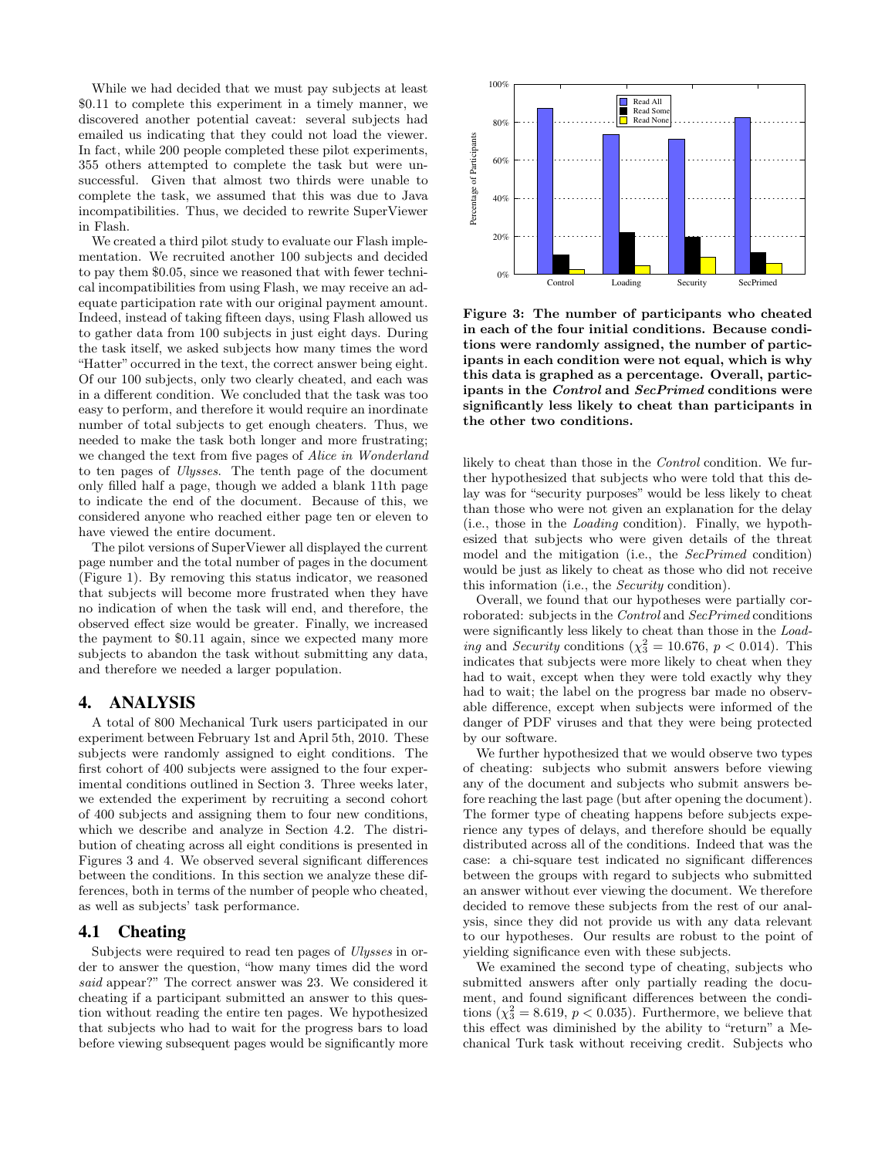While we had decided that we must pay subjects at least \$0.11 to complete this experiment in a timely manner, we discovered another potential caveat: several subjects had emailed us indicating that they could not load the viewer. In fact, while 200 people completed these pilot experiments, 355 others attempted to complete the task but were unsuccessful. Given that almost two thirds were unable to complete the task, we assumed that this was due to Java incompatibilities. Thus, we decided to rewrite SuperViewer in Flash.

We created a third pilot study to evaluate our Flash implementation. We recruited another 100 subjects and decided to pay them \$0.05, since we reasoned that with fewer technical incompatibilities from using Flash, we may receive an adequate participation rate with our original payment amount. Indeed, instead of taking fifteen days, using Flash allowed us to gather data from 100 subjects in just eight days. During the task itself, we asked subjects how many times the word "Hatter" occurred in the text, the correct answer being eight. Of our 100 subjects, only two clearly cheated, and each was in a different condition. We concluded that the task was too easy to perform, and therefore it would require an inordinate number of total subjects to get enough cheaters. Thus, we needed to make the task both longer and more frustrating; we changed the text from five pages of Alice in Wonderland to ten pages of Ulysses. The tenth page of the document only filled half a page, though we added a blank 11th page to indicate the end of the document. Because of this, we considered anyone who reached either page ten or eleven to have viewed the entire document.

The pilot versions of SuperViewer all displayed the current page number and the total number of pages in the document (Figure 1). By removing this status indicator, we reasoned that subjects will become more frustrated when they have no indication of when the task will end, and therefore, the observed effect size would be greater. Finally, we increased the payment to \$0.11 again, since we expected many more subjects to abandon the task without submitting any data, and therefore we needed a larger population.

## 4. ANALYSIS

A total of 800 Mechanical Turk users participated in our experiment between February 1st and April 5th, 2010. These subjects were randomly assigned to eight conditions. The first cohort of 400 subjects were assigned to the four experimental conditions outlined in Section 3. Three weeks later, we extended the experiment by recruiting a second cohort of 400 subjects and assigning them to four new conditions, which we describe and analyze in Section 4.2. The distribution of cheating across all eight conditions is presented in Figures 3 and 4. We observed several significant differences between the conditions. In this section we analyze these differences, both in terms of the number of people who cheated, as well as subjects' task performance.

## 4.1 Cheating

Subjects were required to read ten pages of Ulysses in order to answer the question, "how many times did the word said appear?" The correct answer was 23. We considered it cheating if a participant submitted an answer to this question without reading the entire ten pages. We hypothesized that subjects who had to wait for the progress bars to load before viewing subsequent pages would be significantly more



Figure 3: The number of participants who cheated in each of the four initial conditions. Because conditions were randomly assigned, the number of participants in each condition were not equal, which is why this data is graphed as a percentage. Overall, participants in the Control and SecPrimed conditions were significantly less likely to cheat than participants in the other two conditions.

likely to cheat than those in the *Control* condition. We further hypothesized that subjects who were told that this delay was for "security purposes" would be less likely to cheat than those who were not given an explanation for the delay (i.e., those in the Loading condition). Finally, we hypothesized that subjects who were given details of the threat model and the mitigation (i.e., the SecPrimed condition) would be just as likely to cheat as those who did not receive this information (i.e., the Security condition).

Overall, we found that our hypotheses were partially corroborated: subjects in the Control and SecPrimed conditions were significantly less likely to cheat than those in the Loading and Security conditions ( $\chi^2$  = 10.676, p < 0.014). This indicates that subjects were more likely to cheat when they had to wait, except when they were told exactly why they had to wait; the label on the progress bar made no observable difference, except when subjects were informed of the danger of PDF viruses and that they were being protected by our software.

We further hypothesized that we would observe two types of cheating: subjects who submit answers before viewing any of the document and subjects who submit answers before reaching the last page (but after opening the document). The former type of cheating happens before subjects experience any types of delays, and therefore should be equally distributed across all of the conditions. Indeed that was the case: a chi-square test indicated no significant differences between the groups with regard to subjects who submitted an answer without ever viewing the document. We therefore decided to remove these subjects from the rest of our analysis, since they did not provide us with any data relevant to our hypotheses. Our results are robust to the point of yielding significance even with these subjects.

We examined the second type of cheating, subjects who submitted answers after only partially reading the document, and found significant differences between the conditions  $(\chi^2_3 = 8.619, p < 0.035)$ . Furthermore, we believe that this effect was diminished by the ability to "return" a Mechanical Turk task without receiving credit. Subjects who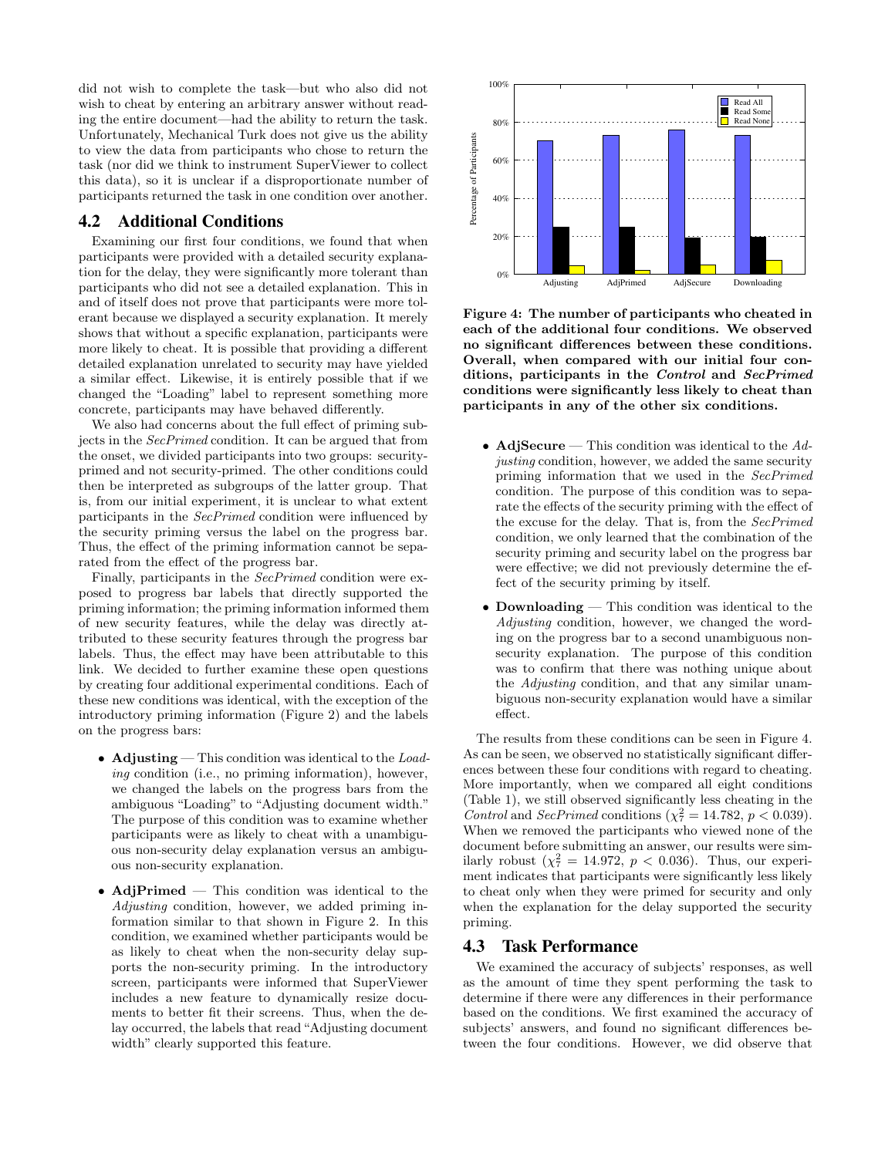did not wish to complete the task—but who also did not wish to cheat by entering an arbitrary answer without reading the entire document—had the ability to return the task. Unfortunately, Mechanical Turk does not give us the ability to view the data from participants who chose to return the task (nor did we think to instrument SuperViewer to collect this data), so it is unclear if a disproportionate number of participants returned the task in one condition over another.

## 4.2 Additional Conditions

Examining our first four conditions, we found that when participants were provided with a detailed security explanation for the delay, they were significantly more tolerant than participants who did not see a detailed explanation. This in and of itself does not prove that participants were more tolerant because we displayed a security explanation. It merely shows that without a specific explanation, participants were more likely to cheat. It is possible that providing a different detailed explanation unrelated to security may have yielded a similar effect. Likewise, it is entirely possible that if we changed the "Loading" label to represent something more concrete, participants may have behaved differently.

We also had concerns about the full effect of priming subjects in the SecPrimed condition. It can be argued that from the onset, we divided participants into two groups: securityprimed and not security-primed. The other conditions could then be interpreted as subgroups of the latter group. That is, from our initial experiment, it is unclear to what extent participants in the SecPrimed condition were influenced by the security priming versus the label on the progress bar. Thus, the effect of the priming information cannot be separated from the effect of the progress bar.

Finally, participants in the SecPrimed condition were exposed to progress bar labels that directly supported the priming information; the priming information informed them of new security features, while the delay was directly attributed to these security features through the progress bar labels. Thus, the effect may have been attributable to this link. We decided to further examine these open questions by creating four additional experimental conditions. Each of these new conditions was identical, with the exception of the introductory priming information (Figure 2) and the labels on the progress bars:

- Adjusting This condition was identical to the Loading condition (i.e., no priming information), however, we changed the labels on the progress bars from the ambiguous "Loading" to "Adjusting document width." The purpose of this condition was to examine whether participants were as likely to cheat with a unambiguous non-security delay explanation versus an ambiguous non-security explanation.
- AdjPrimed This condition was identical to the Adjusting condition, however, we added priming information similar to that shown in Figure 2. In this condition, we examined whether participants would be as likely to cheat when the non-security delay supports the non-security priming. In the introductory screen, participants were informed that SuperViewer includes a new feature to dynamically resize documents to better fit their screens. Thus, when the delay occurred, the labels that read "Adjusting document width" clearly supported this feature.



Figure 4: The number of participants who cheated in each of the additional four conditions. We observed no significant differences between these conditions. Overall, when compared with our initial four conditions, participants in the Control and SecPrimed conditions were significantly less likely to cheat than participants in any of the other six conditions.

- AdjSecure This condition was identical to the  $Ad$ justing condition, however, we added the same security priming information that we used in the SecPrimed condition. The purpose of this condition was to separate the effects of the security priming with the effect of the excuse for the delay. That is, from the SecPrimed condition, we only learned that the combination of the security priming and security label on the progress bar were effective; we did not previously determine the effect of the security priming by itself.
- Downloading This condition was identical to the Adjusting condition, however, we changed the wording on the progress bar to a second unambiguous nonsecurity explanation. The purpose of this condition was to confirm that there was nothing unique about the Adjusting condition, and that any similar unambiguous non-security explanation would have a similar effect.

The results from these conditions can be seen in Figure 4. As can be seen, we observed no statistically significant differences between these four conditions with regard to cheating. More importantly, when we compared all eight conditions (Table 1), we still observed significantly less cheating in the Control and SecPrimed conditions ( $\chi^2_7 = 14.782$ ,  $p < 0.039$ ). When we removed the participants who viewed none of the document before submitting an answer, our results were similarly robust  $(\chi^2_7 = 14.972, p < 0.036)$ . Thus, our experiment indicates that participants were significantly less likely to cheat only when they were primed for security and only when the explanation for the delay supported the security priming.

## 4.3 Task Performance

We examined the accuracy of subjects' responses, as well as the amount of time they spent performing the task to determine if there were any differences in their performance based on the conditions. We first examined the accuracy of subjects' answers, and found no significant differences between the four conditions. However, we did observe that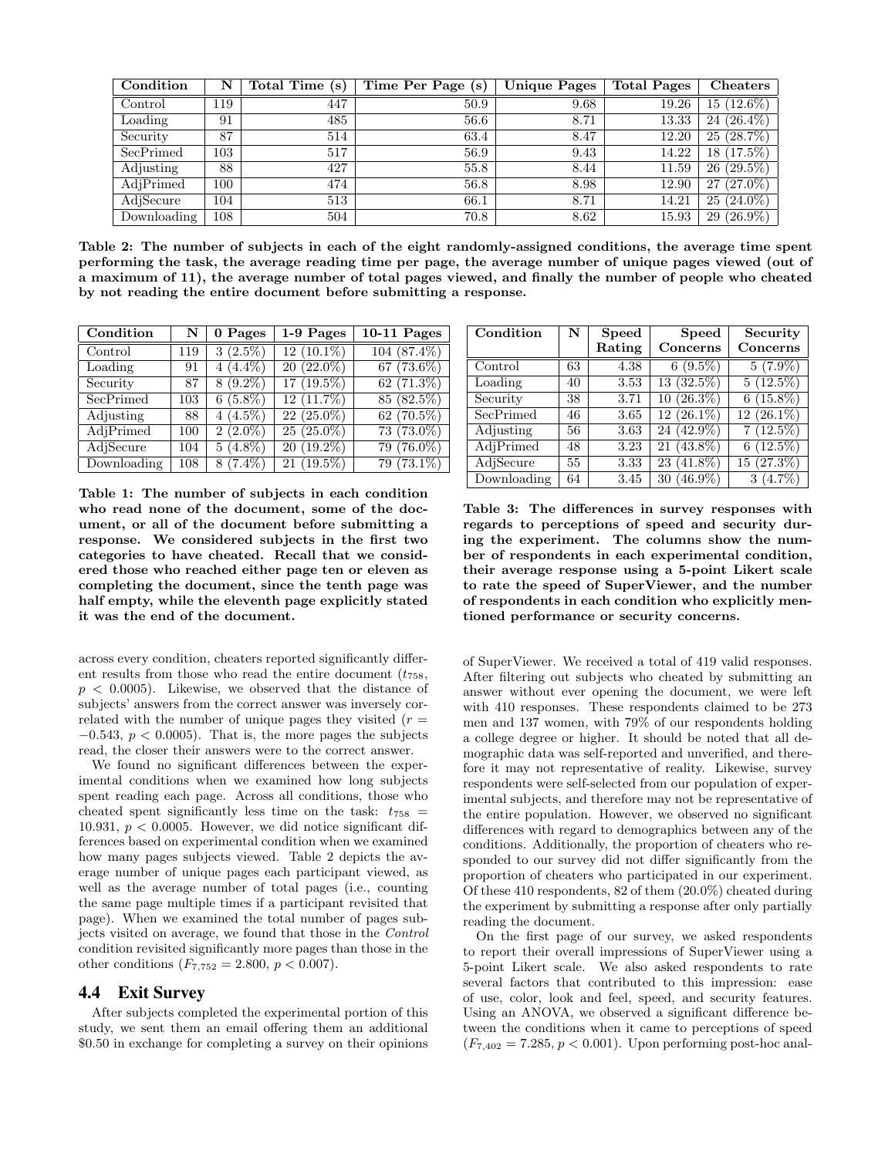| Condition   | N       | Total Time (s) | Time Per Page (s) | <b>Unique Pages</b> | <b>Total Pages</b> | Cheaters         |
|-------------|---------|----------------|-------------------|---------------------|--------------------|------------------|
| Control     | 119     | 447            | 50.9              | 9.68                | 19.26              | $(12.6\%)$<br>15 |
| Loading     | 91      | 485            | 56.6              | 8.71                | 13.33              | $24(26.4\%)$     |
| Security    | 87      | 514            | 63.4              | 8.47                | 12.20              | $(28.7\%)$<br>25 |
| SecPrimed   | $103\,$ | 517            | 56.9              | 9.43                | 14.22              | $(17.5\%)$<br>18 |
| Adjusting   | 88      | 427            | 55.8              | 8.44                | 11.59              | $(29.5\%)$<br>26 |
| AdjPrimed   | 100     | 474            | 56.8              | 8.98                | 12.90              | $(27.0\%)$<br>27 |
| AdjSecure   | 104     | 513            | 66.1              | 8.71                | 14.21              | $(24.0\%)$<br>25 |
| Downloading | 108     | 504            | 70.8              | 8.62                | 15.93              | $(26.9\%)$<br>29 |

Table 2: The number of subjects in each of the eight randomly-assigned conditions, the average time spent performing the task, the average reading time per page, the average number of unique pages viewed (out of a maximum of 11), the average number of total pages viewed, and finally the number of people who cheated by not reading the entire document before submitting a response.

| Condition   | N   | 0 Pages               | 1-9 Pages                  | 10-11 Pages             |
|-------------|-----|-----------------------|----------------------------|-------------------------|
| Control     | 119 | 3(2.5%)               | $12(10.1\%)$               | $104(87.4\%)$           |
| Loading     | 91  | $\overline{4}(4.4\%)$ | $\overline{20}$ $(22.0\%)$ | $\overline{67}$ (73.6%) |
| Security    | 87  | $8(9.2\%)$            | $17(19.5\%)$               | 62(71.3%)               |
| SecPrimed   | 103 | $6(5.8\%)$            | $12(11.7\%)$               | $85(82.5\%)$            |
| Adjusting   | 88  | $4(4.5\%)$            | $22(25.0\%)$               | $62(70.5\%)$            |
| AdjPrimed   | 100 | $2(2.0\%)$            | $25(25.0\%)$               | $73(73.0\%)$            |
| AdjSecure   | 104 | $5(4.8\%)$            | $20(19.2\%)$               | $79(76.0\%)$            |
| Downloading | 108 | $8(7.4\%)$            | $21(19.5\%)$               | $79(73.1\%)$            |

Table 1: The number of subjects in each condition who read none of the document, some of the document, or all of the document before submitting a response. We considered subjects in the first two categories to have cheated. Recall that we considered those who reached either page ten or eleven as completing the document, since the tenth page was half empty, while the eleventh page explicitly stated it was the end of the document.

across every condition, cheaters reported significantly different results from those who read the entire document  $(t_{758},$  $p < 0.0005$ ). Likewise, we observed that the distance of subjects' answers from the correct answer was inversely correlated with the number of unique pages they visited  $(r =$  $-0.543$ ,  $p < 0.0005$ ). That is, the more pages the subjects read, the closer their answers were to the correct answer.

We found no significant differences between the experimental conditions when we examined how long subjects spent reading each page. Across all conditions, those who cheated spent significantly less time on the task:  $t_{758}$  = 10.931,  $p < 0.0005$ . However, we did notice significant differences based on experimental condition when we examined how many pages subjects viewed. Table 2 depicts the average number of unique pages each participant viewed, as well as the average number of total pages (i.e., counting the same page multiple times if a participant revisited that page). When we examined the total number of pages subjects visited on average, we found that those in the Control condition revisited significantly more pages than those in the other conditions  $(F_{7,752} = 2.800, p < 0.007)$ .

#### 4.4 Exit Survey

After subjects completed the experimental portion of this study, we sent them an email offering them an additional \$0.50 in exchange for completing a survey on their opinions

| Condition   | N  | <b>Speed</b> | <b>Speed</b>     | Security     |
|-------------|----|--------------|------------------|--------------|
|             |    | Rating       | Concerns         | Concerns     |
| Control     | 63 | 4.38         | $6(9.5\%)$       | $5(7.9\%)$   |
| Loading     | 40 | 3.53         | 13(32.5%)        | 5(12.5%)     |
| Security    | 38 | 3.71         | $10(26.3\%)$     | $6(15.8\%)$  |
| SecPrimed   | 46 | 3.65         | $12(26.1\%)$     | $12(26.1\%)$ |
| Adjusting   | 56 | 3.63         | $24(42.9\%)$     | 7(12.5%)     |
| AdjPrimed   | 48 | 3.23         | $(43.8\%)$<br>21 | $6(12.5\%)$  |
| AdjSecure   | 55 | 3.33         | $(41.8\%)$<br>23 | $15(27.3\%)$ |
| Downloading | 64 | 3.45         | $30(46.9\%)$     | $3(4.7\%)$   |

Table 3: The differences in survey responses with regards to perceptions of speed and security during the experiment. The columns show the number of respondents in each experimental condition, their average response using a 5-point Likert scale to rate the speed of SuperViewer, and the number of respondents in each condition who explicitly mentioned performance or security concerns.

of SuperViewer. We received a total of 419 valid responses. After filtering out subjects who cheated by submitting an answer without ever opening the document, we were left with 410 responses. These respondents claimed to be 273 men and 137 women, with 79% of our respondents holding a college degree or higher. It should be noted that all demographic data was self-reported and unverified, and therefore it may not representative of reality. Likewise, survey respondents were self-selected from our population of experimental subjects, and therefore may not be representative of the entire population. However, we observed no significant differences with regard to demographics between any of the conditions. Additionally, the proportion of cheaters who responded to our survey did not differ significantly from the proportion of cheaters who participated in our experiment. Of these 410 respondents, 82 of them (20.0%) cheated during the experiment by submitting a response after only partially reading the document.

On the first page of our survey, we asked respondents to report their overall impressions of SuperViewer using a 5-point Likert scale. We also asked respondents to rate several factors that contributed to this impression: ease of use, color, look and feel, speed, and security features. Using an ANOVA, we observed a significant difference between the conditions when it came to perceptions of speed  $(F_{7,402} = 7.285, p < 0.001)$ . Upon performing post-hoc anal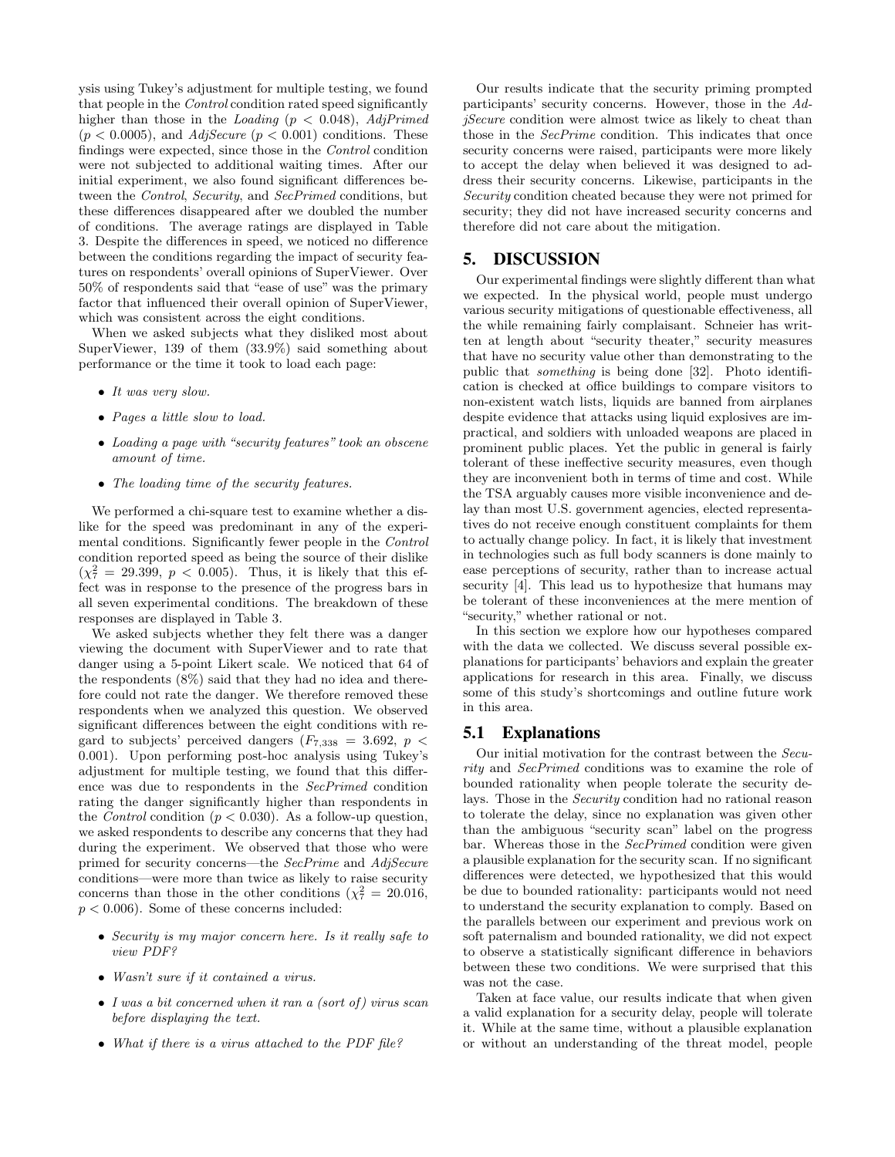ysis using Tukey's adjustment for multiple testing, we found that people in the Control condition rated speed significantly higher than those in the *Loading* ( $p < 0.048$ ), *AdjPrimed*  $(p < 0.0005)$ , and  $AdjSecure$   $(p < 0.001)$  conditions. These findings were expected, since those in the Control condition were not subjected to additional waiting times. After our initial experiment, we also found significant differences between the Control, Security, and SecPrimed conditions, but these differences disappeared after we doubled the number of conditions. The average ratings are displayed in Table 3. Despite the differences in speed, we noticed no difference between the conditions regarding the impact of security features on respondents' overall opinions of SuperViewer. Over 50% of respondents said that "ease of use" was the primary factor that influenced their overall opinion of SuperViewer, which was consistent across the eight conditions.

When we asked subjects what they disliked most about SuperViewer, 139 of them (33.9%) said something about performance or the time it took to load each page:

- It was very slow.
- Pages a little slow to load.
- Loading a page with "security features" took an obscene amount of time.
- The loading time of the security features.

We performed a chi-square test to examine whether a dislike for the speed was predominant in any of the experimental conditions. Significantly fewer people in the Control condition reported speed as being the source of their dislike  $(\chi^2_7 = 29.399, p < 0.005)$ . Thus, it is likely that this effect was in response to the presence of the progress bars in all seven experimental conditions. The breakdown of these responses are displayed in Table 3.

We asked subjects whether they felt there was a danger viewing the document with SuperViewer and to rate that danger using a 5-point Likert scale. We noticed that 64 of the respondents (8%) said that they had no idea and therefore could not rate the danger. We therefore removed these respondents when we analyzed this question. We observed significant differences between the eight conditions with regard to subjects' perceived dangers  $(F_{7,338} = 3.692, p <$ 0.001). Upon performing post-hoc analysis using Tukey's adjustment for multiple testing, we found that this difference was due to respondents in the SecPrimed condition rating the danger significantly higher than respondents in the *Control* condition ( $p < 0.030$ ). As a follow-up question, we asked respondents to describe any concerns that they had during the experiment. We observed that those who were primed for security concerns—the SecPrime and AdjSecure conditions—were more than twice as likely to raise security concerns than those in the other conditions ( $\chi^2 = 20.016$ ,  $p < 0.006$ . Some of these concerns included:

- Security is my major concern here. Is it really safe to view PDF?
- Wasn't sure if it contained a virus.
- I was a bit concerned when it ran a (sort of) virus scan before displaying the text.
- What if there is a virus attached to the PDF file?

Our results indicate that the security priming prompted participants' security concerns. However, those in the AdjSecure condition were almost twice as likely to cheat than those in the SecPrime condition. This indicates that once security concerns were raised, participants were more likely to accept the delay when believed it was designed to address their security concerns. Likewise, participants in the Security condition cheated because they were not primed for security; they did not have increased security concerns and therefore did not care about the mitigation.

# 5. DISCUSSION

Our experimental findings were slightly different than what we expected. In the physical world, people must undergo various security mitigations of questionable effectiveness, all the while remaining fairly complaisant. Schneier has written at length about "security theater," security measures that have no security value other than demonstrating to the public that something is being done [32]. Photo identification is checked at office buildings to compare visitors to non-existent watch lists, liquids are banned from airplanes despite evidence that attacks using liquid explosives are impractical, and soldiers with unloaded weapons are placed in prominent public places. Yet the public in general is fairly tolerant of these ineffective security measures, even though they are inconvenient both in terms of time and cost. While the TSA arguably causes more visible inconvenience and delay than most U.S. government agencies, elected representatives do not receive enough constituent complaints for them to actually change policy. In fact, it is likely that investment in technologies such as full body scanners is done mainly to ease perceptions of security, rather than to increase actual security [4]. This lead us to hypothesize that humans may be tolerant of these inconveniences at the mere mention of "security," whether rational or not.

In this section we explore how our hypotheses compared with the data we collected. We discuss several possible explanations for participants' behaviors and explain the greater applications for research in this area. Finally, we discuss some of this study's shortcomings and outline future work in this area.

## 5.1 Explanations

Our initial motivation for the contrast between the Security and SecPrimed conditions was to examine the role of bounded rationality when people tolerate the security delays. Those in the Security condition had no rational reason to tolerate the delay, since no explanation was given other than the ambiguous "security scan" label on the progress bar. Whereas those in the SecPrimed condition were given a plausible explanation for the security scan. If no significant differences were detected, we hypothesized that this would be due to bounded rationality: participants would not need to understand the security explanation to comply. Based on the parallels between our experiment and previous work on soft paternalism and bounded rationality, we did not expect to observe a statistically significant difference in behaviors between these two conditions. We were surprised that this was not the case.

Taken at face value, our results indicate that when given a valid explanation for a security delay, people will tolerate it. While at the same time, without a plausible explanation or without an understanding of the threat model, people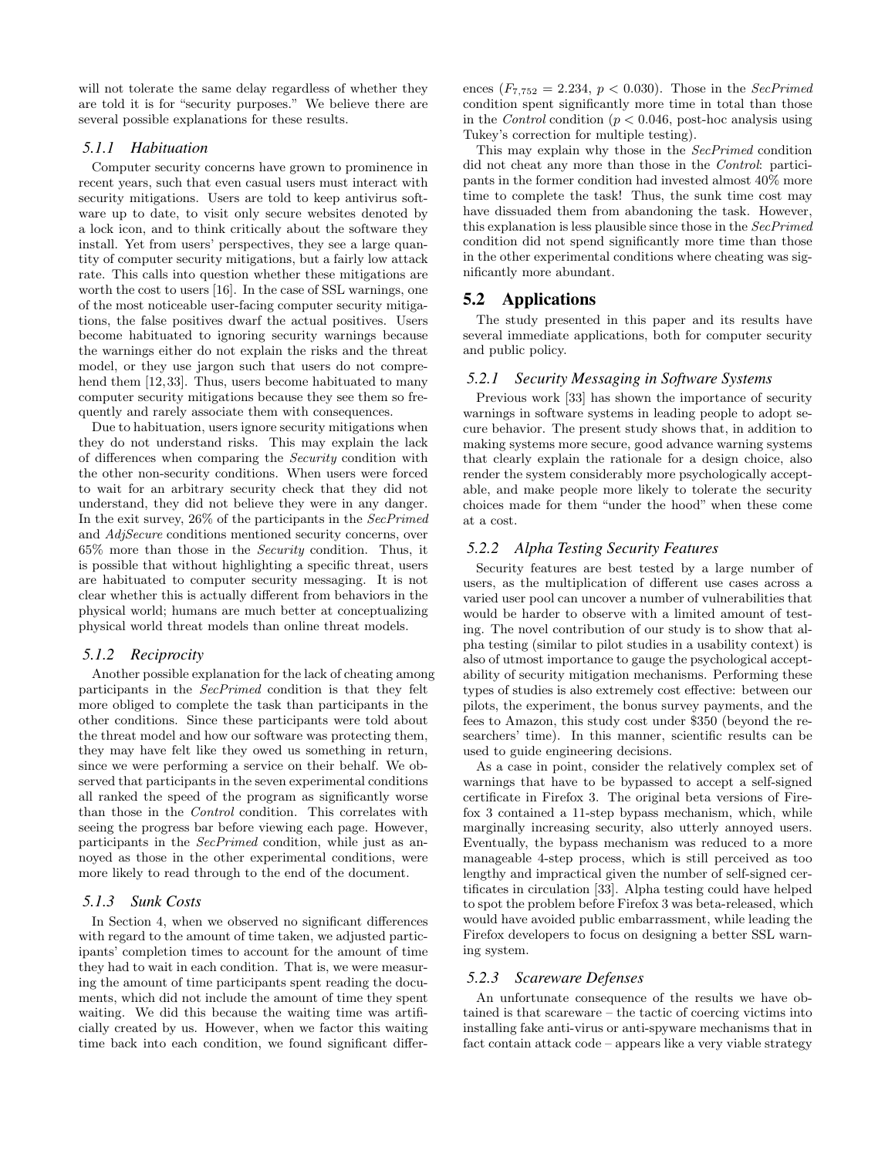will not tolerate the same delay regardless of whether they are told it is for "security purposes." We believe there are several possible explanations for these results.

## *5.1.1 Habituation*

Computer security concerns have grown to prominence in recent years, such that even casual users must interact with security mitigations. Users are told to keep antivirus software up to date, to visit only secure websites denoted by a lock icon, and to think critically about the software they install. Yet from users' perspectives, they see a large quantity of computer security mitigations, but a fairly low attack rate. This calls into question whether these mitigations are worth the cost to users [16]. In the case of SSL warnings, one of the most noticeable user-facing computer security mitigations, the false positives dwarf the actual positives. Users become habituated to ignoring security warnings because the warnings either do not explain the risks and the threat model, or they use jargon such that users do not comprehend them [12,33]. Thus, users become habituated to many computer security mitigations because they see them so frequently and rarely associate them with consequences.

Due to habituation, users ignore security mitigations when they do not understand risks. This may explain the lack of differences when comparing the Security condition with the other non-security conditions. When users were forced to wait for an arbitrary security check that they did not understand, they did not believe they were in any danger. In the exit survey, 26% of the participants in the SecPrimed and AdjSecure conditions mentioned security concerns, over 65% more than those in the Security condition. Thus, it is possible that without highlighting a specific threat, users are habituated to computer security messaging. It is not clear whether this is actually different from behaviors in the physical world; humans are much better at conceptualizing physical world threat models than online threat models.

#### *5.1.2 Reciprocity*

Another possible explanation for the lack of cheating among participants in the SecPrimed condition is that they felt more obliged to complete the task than participants in the other conditions. Since these participants were told about the threat model and how our software was protecting them, they may have felt like they owed us something in return, since we were performing a service on their behalf. We observed that participants in the seven experimental conditions all ranked the speed of the program as significantly worse than those in the Control condition. This correlates with seeing the progress bar before viewing each page. However, participants in the SecPrimed condition, while just as annoyed as those in the other experimental conditions, were more likely to read through to the end of the document.

#### *5.1.3 Sunk Costs*

In Section 4, when we observed no significant differences with regard to the amount of time taken, we adjusted participants' completion times to account for the amount of time they had to wait in each condition. That is, we were measuring the amount of time participants spent reading the documents, which did not include the amount of time they spent waiting. We did this because the waiting time was artificially created by us. However, when we factor this waiting time back into each condition, we found significant differences  $(F_{7,752} = 2.234, p < 0.030)$ . Those in the *SecPrimed* condition spent significantly more time in total than those in the *Control* condition ( $p < 0.046$ , post-hoc analysis using Tukey's correction for multiple testing).

This may explain why those in the SecPrimed condition did not cheat any more than those in the Control: participants in the former condition had invested almost 40% more time to complete the task! Thus, the sunk time cost may have dissuaded them from abandoning the task. However, this explanation is less plausible since those in the SecPrimed condition did not spend significantly more time than those in the other experimental conditions where cheating was significantly more abundant.

## 5.2 Applications

The study presented in this paper and its results have several immediate applications, both for computer security and public policy.

## *5.2.1 Security Messaging in Software Systems*

Previous work [33] has shown the importance of security warnings in software systems in leading people to adopt secure behavior. The present study shows that, in addition to making systems more secure, good advance warning systems that clearly explain the rationale for a design choice, also render the system considerably more psychologically acceptable, and make people more likely to tolerate the security choices made for them "under the hood" when these come at a cost.

#### *5.2.2 Alpha Testing Security Features*

Security features are best tested by a large number of users, as the multiplication of different use cases across a varied user pool can uncover a number of vulnerabilities that would be harder to observe with a limited amount of testing. The novel contribution of our study is to show that alpha testing (similar to pilot studies in a usability context) is also of utmost importance to gauge the psychological acceptability of security mitigation mechanisms. Performing these types of studies is also extremely cost effective: between our pilots, the experiment, the bonus survey payments, and the fees to Amazon, this study cost under \$350 (beyond the researchers' time). In this manner, scientific results can be used to guide engineering decisions.

As a case in point, consider the relatively complex set of warnings that have to be bypassed to accept a self-signed certificate in Firefox 3. The original beta versions of Firefox 3 contained a 11-step bypass mechanism, which, while marginally increasing security, also utterly annoyed users. Eventually, the bypass mechanism was reduced to a more manageable 4-step process, which is still perceived as too lengthy and impractical given the number of self-signed certificates in circulation [33]. Alpha testing could have helped to spot the problem before Firefox 3 was beta-released, which would have avoided public embarrassment, while leading the Firefox developers to focus on designing a better SSL warning system.

#### *5.2.3 Scareware Defenses*

An unfortunate consequence of the results we have obtained is that scareware – the tactic of coercing victims into installing fake anti-virus or anti-spyware mechanisms that in fact contain attack code – appears like a very viable strategy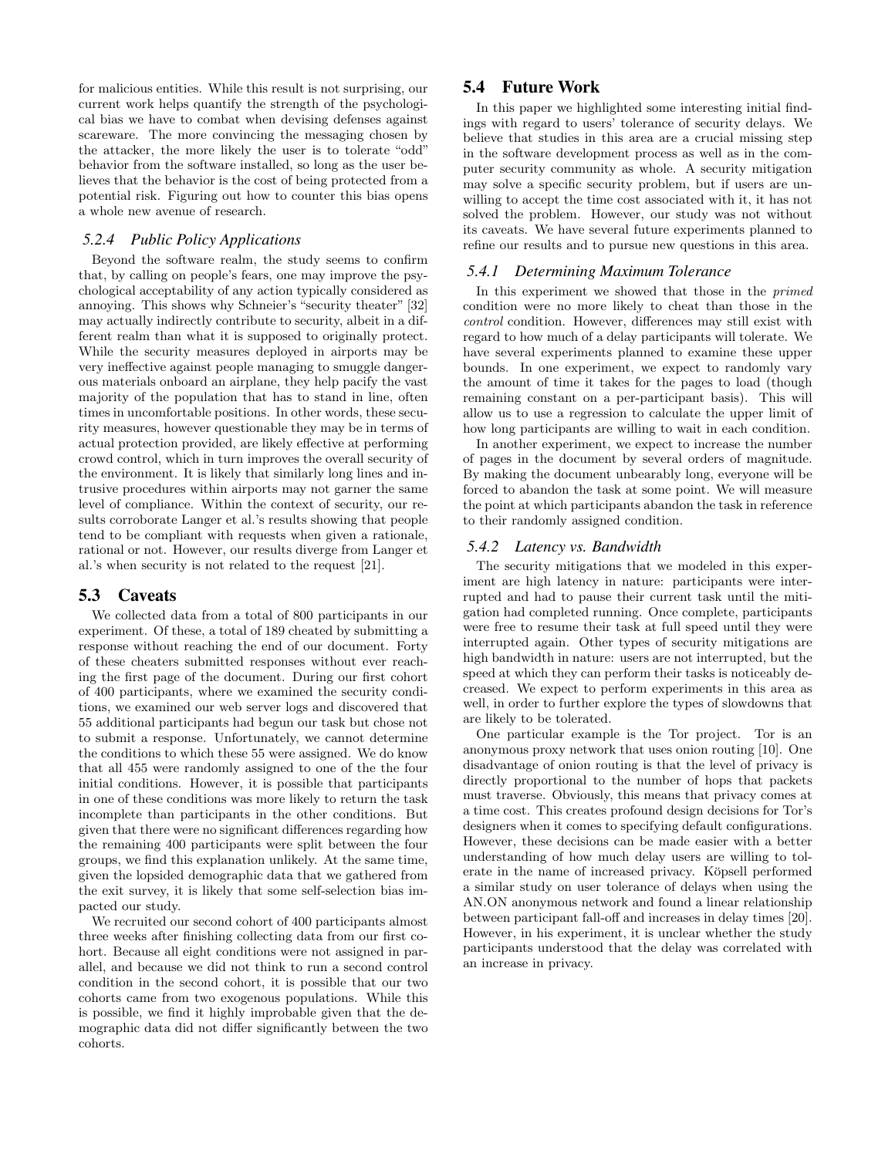for malicious entities. While this result is not surprising, our current work helps quantify the strength of the psychological bias we have to combat when devising defenses against scareware. The more convincing the messaging chosen by the attacker, the more likely the user is to tolerate "odd" behavior from the software installed, so long as the user believes that the behavior is the cost of being protected from a potential risk. Figuring out how to counter this bias opens a whole new avenue of research.

# *5.2.4 Public Policy Applications*

Beyond the software realm, the study seems to confirm that, by calling on people's fears, one may improve the psychological acceptability of any action typically considered as annoying. This shows why Schneier's "security theater" [32] may actually indirectly contribute to security, albeit in a different realm than what it is supposed to originally protect. While the security measures deployed in airports may be very ineffective against people managing to smuggle dangerous materials onboard an airplane, they help pacify the vast majority of the population that has to stand in line, often times in uncomfortable positions. In other words, these security measures, however questionable they may be in terms of actual protection provided, are likely effective at performing crowd control, which in turn improves the overall security of the environment. It is likely that similarly long lines and intrusive procedures within airports may not garner the same level of compliance. Within the context of security, our results corroborate Langer et al.'s results showing that people tend to be compliant with requests when given a rationale, rational or not. However, our results diverge from Langer et al.'s when security is not related to the request [21].

## 5.3 Caveats

We collected data from a total of 800 participants in our experiment. Of these, a total of 189 cheated by submitting a response without reaching the end of our document. Forty of these cheaters submitted responses without ever reaching the first page of the document. During our first cohort of 400 participants, where we examined the security conditions, we examined our web server logs and discovered that 55 additional participants had begun our task but chose not to submit a response. Unfortunately, we cannot determine the conditions to which these 55 were assigned. We do know that all 455 were randomly assigned to one of the the four initial conditions. However, it is possible that participants in one of these conditions was more likely to return the task incomplete than participants in the other conditions. But given that there were no significant differences regarding how the remaining 400 participants were split between the four groups, we find this explanation unlikely. At the same time, given the lopsided demographic data that we gathered from the exit survey, it is likely that some self-selection bias impacted our study.

We recruited our second cohort of 400 participants almost three weeks after finishing collecting data from our first cohort. Because all eight conditions were not assigned in parallel, and because we did not think to run a second control condition in the second cohort, it is possible that our two cohorts came from two exogenous populations. While this is possible, we find it highly improbable given that the demographic data did not differ significantly between the two cohorts.

# 5.4 Future Work

In this paper we highlighted some interesting initial findings with regard to users' tolerance of security delays. We believe that studies in this area are a crucial missing step in the software development process as well as in the computer security community as whole. A security mitigation may solve a specific security problem, but if users are unwilling to accept the time cost associated with it, it has not solved the problem. However, our study was not without its caveats. We have several future experiments planned to refine our results and to pursue new questions in this area.

#### *5.4.1 Determining Maximum Tolerance*

In this experiment we showed that those in the primed condition were no more likely to cheat than those in the control condition. However, differences may still exist with regard to how much of a delay participants will tolerate. We have several experiments planned to examine these upper bounds. In one experiment, we expect to randomly vary the amount of time it takes for the pages to load (though remaining constant on a per-participant basis). This will allow us to use a regression to calculate the upper limit of how long participants are willing to wait in each condition.

In another experiment, we expect to increase the number of pages in the document by several orders of magnitude. By making the document unbearably long, everyone will be forced to abandon the task at some point. We will measure the point at which participants abandon the task in reference to their randomly assigned condition.

#### *5.4.2 Latency vs. Bandwidth*

The security mitigations that we modeled in this experiment are high latency in nature: participants were interrupted and had to pause their current task until the mitigation had completed running. Once complete, participants were free to resume their task at full speed until they were interrupted again. Other types of security mitigations are high bandwidth in nature: users are not interrupted, but the speed at which they can perform their tasks is noticeably decreased. We expect to perform experiments in this area as well, in order to further explore the types of slowdowns that are likely to be tolerated.

One particular example is the Tor project. Tor is an anonymous proxy network that uses onion routing [10]. One disadvantage of onion routing is that the level of privacy is directly proportional to the number of hops that packets must traverse. Obviously, this means that privacy comes at a time cost. This creates profound design decisions for Tor's designers when it comes to specifying default configurations. However, these decisions can be made easier with a better understanding of how much delay users are willing to tolerate in the name of increased privacy. Köpsell performed a similar study on user tolerance of delays when using the AN.ON anonymous network and found a linear relationship between participant fall-off and increases in delay times [20]. However, in his experiment, it is unclear whether the study participants understood that the delay was correlated with an increase in privacy.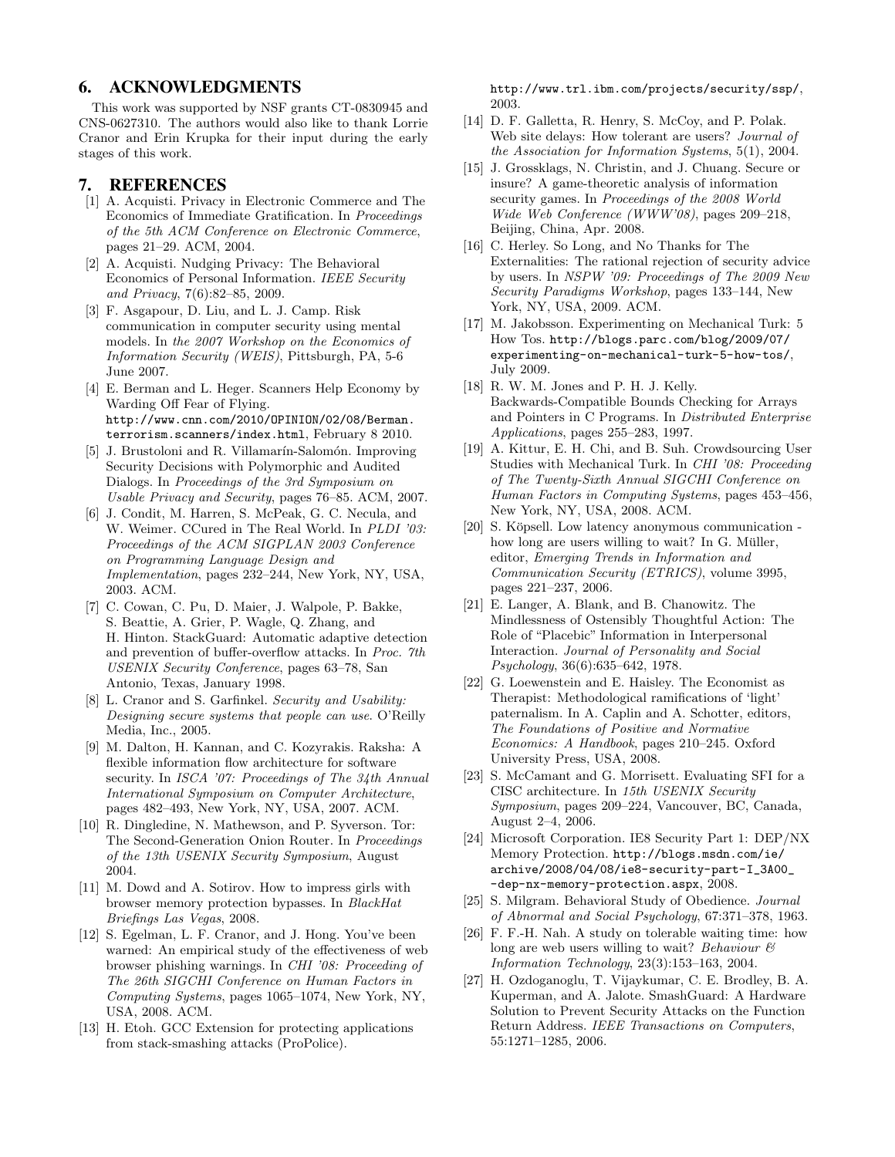## 6. ACKNOWLEDGMENTS

This work was supported by NSF grants CT-0830945 and CNS-0627310. The authors would also like to thank Lorrie Cranor and Erin Krupka for their input during the early stages of this work.

## 7. REFERENCES

- [1] A. Acquisti. Privacy in Electronic Commerce and The Economics of Immediate Gratification. In Proceedings of the 5th ACM Conference on Electronic Commerce, pages 21–29. ACM, 2004.
- [2] A. Acquisti. Nudging Privacy: The Behavioral Economics of Personal Information. IEEE Security and Privacy, 7(6):82–85, 2009.
- [3] F. Asgapour, D. Liu, and L. J. Camp. Risk communication in computer security using mental models. In the 2007 Workshop on the Economics of Information Security (WEIS), Pittsburgh, PA, 5-6 June 2007.
- [4] E. Berman and L. Heger. Scanners Help Economy by Warding Off Fear of Flying. http://www.cnn.com/2010/OPINION/02/08/Berman. terrorism.scanners/index.html, February 8 2010.
- [5] J. Brustoloni and R. Villamarín-Salomón. Improving Security Decisions with Polymorphic and Audited Dialogs. In Proceedings of the 3rd Symposium on Usable Privacy and Security, pages 76–85. ACM, 2007.
- [6] J. Condit, M. Harren, S. McPeak, G. C. Necula, and W. Weimer. CCured in The Real World. In PLDI '03: Proceedings of the ACM SIGPLAN 2003 Conference on Programming Language Design and Implementation, pages 232–244, New York, NY, USA, 2003. ACM.
- [7] C. Cowan, C. Pu, D. Maier, J. Walpole, P. Bakke, S. Beattie, A. Grier, P. Wagle, Q. Zhang, and H. Hinton. StackGuard: Automatic adaptive detection and prevention of buffer-overflow attacks. In Proc. 7th USENIX Security Conference, pages 63–78, San Antonio, Texas, January 1998.
- [8] L. Cranor and S. Garfinkel. Security and Usability: Designing secure systems that people can use. O'Reilly Media, Inc., 2005.
- [9] M. Dalton, H. Kannan, and C. Kozyrakis. Raksha: A flexible information flow architecture for software security. In ISCA '07: Proceedings of The 34th Annual International Symposium on Computer Architecture, pages 482–493, New York, NY, USA, 2007. ACM.
- [10] R. Dingledine, N. Mathewson, and P. Syverson. Tor: The Second-Generation Onion Router. In Proceedings of the 13th USENIX Security Symposium, August 2004.
- [11] M. Dowd and A. Sotirov. How to impress girls with browser memory protection bypasses. In BlackHat Briefings Las Vegas, 2008.
- [12] S. Egelman, L. F. Cranor, and J. Hong. You've been warned: An empirical study of the effectiveness of web browser phishing warnings. In CHI '08: Proceeding of The 26th SIGCHI Conference on Human Factors in Computing Systems, pages 1065–1074, New York, NY, USA, 2008. ACM.
- [13] H. Etoh. GCC Extension for protecting applications from stack-smashing attacks (ProPolice).

http://www.trl.ibm.com/projects/security/ssp/, 2003.

- [14] D. F. Galletta, R. Henry, S. McCoy, and P. Polak. Web site delays: How tolerant are users? Journal of the Association for Information Systems, 5(1), 2004.
- [15] J. Grossklags, N. Christin, and J. Chuang. Secure or insure? A game-theoretic analysis of information security games. In Proceedings of the 2008 World Wide Web Conference (WWW'08), pages 209–218, Beijing, China, Apr. 2008.
- [16] C. Herley. So Long, and No Thanks for The Externalities: The rational rejection of security advice by users. In NSPW '09: Proceedings of The 2009 New Security Paradigms Workshop, pages 133–144, New York, NY, USA, 2009. ACM.
- [17] M. Jakobsson. Experimenting on Mechanical Turk: 5 How Tos. http://blogs.parc.com/blog/2009/07/ experimenting-on-mechanical-turk-5-how-tos/, July 2009.
- [18] R. W. M. Jones and P. H. J. Kelly. Backwards-Compatible Bounds Checking for Arrays and Pointers in C Programs. In Distributed Enterprise Applications, pages 255–283, 1997.
- [19] A. Kittur, E. H. Chi, and B. Suh. Crowdsourcing User Studies with Mechanical Turk. In CHI '08: Proceeding of The Twenty-Sixth Annual SIGCHI Conference on Human Factors in Computing Systems, pages 453–456, New York, NY, USA, 2008. ACM.
- [20] S. Köpsell. Low latency anonymous communication how long are users willing to wait? In G. Müller, editor, Emerging Trends in Information and Communication Security (ETRICS), volume 3995, pages 221–237, 2006.
- [21] E. Langer, A. Blank, and B. Chanowitz. The Mindlessness of Ostensibly Thoughtful Action: The Role of "Placebic" Information in Interpersonal Interaction. Journal of Personality and Social Psychology, 36(6):635–642, 1978.
- [22] G. Loewenstein and E. Haisley. The Economist as Therapist: Methodological ramifications of 'light' paternalism. In A. Caplin and A. Schotter, editors, The Foundations of Positive and Normative Economics: A Handbook, pages 210–245. Oxford University Press, USA, 2008.
- [23] S. McCamant and G. Morrisett. Evaluating SFI for a CISC architecture. In 15th USENIX Security Symposium, pages 209–224, Vancouver, BC, Canada, August 2–4, 2006.
- [24] Microsoft Corporation. IE8 Security Part 1: DEP/NX Memory Protection. http://blogs.msdn.com/ie/ archive/2008/04/08/ie8-security-part-I\_3A00\_ -dep-nx-memory-protection.aspx, 2008.
- [25] S. Milgram. Behavioral Study of Obedience. Journal of Abnormal and Social Psychology, 67:371–378, 1963.
- [26] F. F.-H. Nah. A study on tolerable waiting time: how long are web users willing to wait? Behaviour  $\mathcal B$ Information Technology, 23(3):153–163, 2004.
- [27] H. Ozdoganoglu, T. Vijaykumar, C. E. Brodley, B. A. Kuperman, and A. Jalote. SmashGuard: A Hardware Solution to Prevent Security Attacks on the Function Return Address. IEEE Transactions on Computers, 55:1271–1285, 2006.